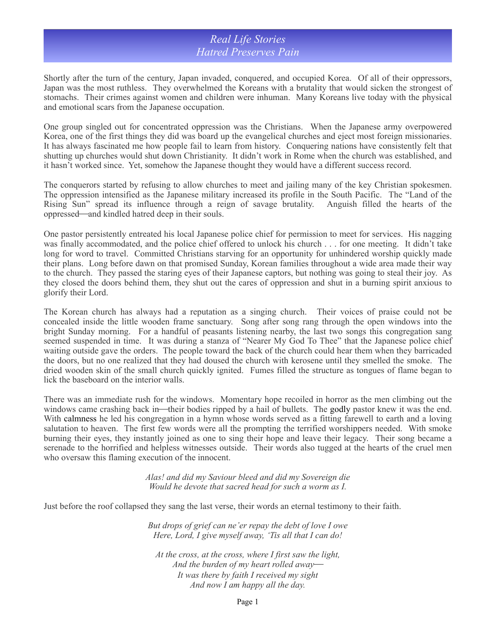## *Real Life Stories Hatred Preserves Pain*

Shortly after the turn of the century, Japan invaded, conquered, and occupied Korea. Of all of their oppressors, Japan was the most ruthless. They overwhelmed the Koreans with a brutality that would sicken the strongest of stomachs. Their crimes against women and children were inhuman. Many Koreans live today with the physical and emotional scars from the Japanese occupation.

One group singled out for concentrated oppression was the Christians. When the Japanese army overpowered Korea, one of the first things they did was board up the evangelical churches and eject most foreign missionaries. It has always fascinated me how people fail to learn from history. Conquering nations have consistently felt that shutting up churches would shut down Christianity. It didn't work in Rome when the church was established, and it hasn't worked since. Yet, somehow the Japanese thought they would have a different success record.

The conquerors started by refusing to allow churches to meet and jailing many of the key Christian spokesmen. The oppression intensified as the Japanese military increased its profile in the South Pacific. The "Land of the Rising Sun" spread its influence through a reign of savage brutality. Anguish filled the hearts of the oppressed!and kindled hatred deep in their souls.

One pastor persistently entreated his local Japanese police chief for permission to meet for services. His nagging was finally accommodated, and the police chief offered to unlock his church . . . for one meeting. It didn't take long for word to travel. Committed Christians starving for an opportunity for unhindered worship quickly made their plans. Long before dawn on that promised Sunday, Korean families throughout a wide area made their way to the church. They passed the staring eyes of their Japanese captors, but nothing was going to steal their joy. As they closed the doors behind them, they shut out the cares of oppression and shut in a burning spirit anxious to glorify their Lord.

The Korean church has always had a reputation as a singing church. Their voices of praise could not be concealed inside the little wooden frame sanctuary. Song after song rang through the open windows into the bright Sunday morning. For a handful of peasants listening nearby, the last two songs this congregation sang seemed suspended in time. It was during a stanza of "Nearer My God To Thee" that the Japanese police chief waiting outside gave the orders. The people toward the back of the church could hear them when they barricaded the doors, but no one realized that they had doused the church with kerosene until they smelled the smoke. The dried wooden skin of the small church quickly ignited. Fumes filled the structure as tongues of flame began to lick the baseboard on the interior walls.

There was an immediate rush for the windows. Momentary hope recoiled in horror as the men climbing out the windows came crashing back in—their bodies ripped by a hail of bullets. The godly pastor knew it was the end. With calmness he led his congregation in a hymn whose words served as a fitting farewell to earth and a loving salutation to heaven. The first few words were all the prompting the terrified worshippers needed. With smoke burning their eyes, they instantly joined as one to sing their hope and leave their legacy. Their song became a serenade to the horrified and helpless witnesses outside. Their words also tugged at the hearts of the cruel men who oversaw this flaming execution of the innocent.

> *Alas! and did my Saviour bleed and did my Sovereign die Would he devote that sacred head for such a worm as I.*

Just before the roof collapsed they sang the last verse, their words an eternal testimony to their faith.

*But drops of grief can ne'er repay the debt of love I owe Here, Lord, I give myself away, 'Tis all that I can do!*

*At the cross, at the cross, where I first saw the light, And the burden of my heart rolled away*! *It was there by faith I received my sight And now I am happy all the day.*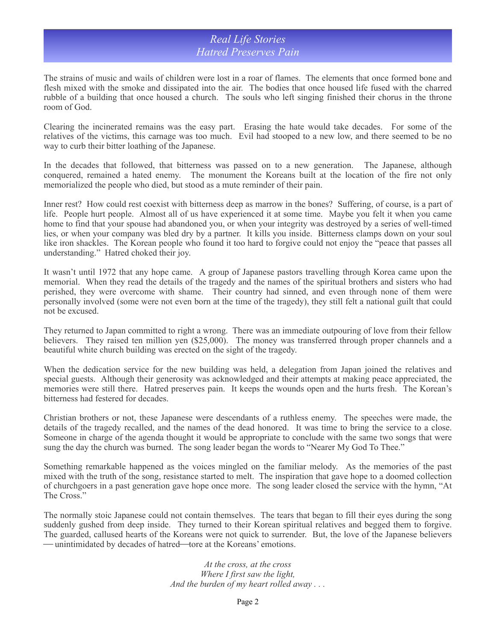*Real Life Stories Hatred Preserves Pain*

The strains of music and wails of children were lost in a roar of flames. The elements that once formed bone and flesh mixed with the smoke and dissipated into the air. The bodies that once housed life fused with the charred rubble of a building that once housed a church. The souls who left singing finished their chorus in the throne room of God.

Clearing the incinerated remains was the easy part. Erasing the hate would take decades. For some of the relatives of the victims, this carnage was too much. Evil had stooped to a new low, and there seemed to be no way to curb their bitter loathing of the Japanese.

In the decades that followed, that bitterness was passed on to a new generation. The Japanese, although conquered, remained a hated enemy. The monument the Koreans built at the location of the fire not only memorialized the people who died, but stood as a mute reminder of their pain.

Inner rest? How could rest coexist with bitterness deep as marrow in the bones? Suffering, of course, is a part of life. People hurt people. Almost all of us have experienced it at some time. Maybe you felt it when you came home to find that your spouse had abandoned you, or when your integrity was destroyed by a series of well-timed lies, or when your company was bled dry by a partner. It kills you inside. Bitterness clamps down on your soul like iron shackles. The Korean people who found it too hard to forgive could not enjoy the "peace that passes all understanding." Hatred choked their joy.

It wasn't until 1972 that any hope came. A group of Japanese pastors travelling through Korea came upon the memorial. When they read the details of the tragedy and the names of the spiritual brothers and sisters who had perished, they were overcome with shame. Their country had sinned, and even through none of them were personally involved (some were not even born at the time of the tragedy), they still felt a national guilt that could not be excused.

They returned to Japan committed to right a wrong. There was an immediate outpouring of love from their fellow believers. They raised ten million yen (\$25,000). The money was transferred through proper channels and a beautiful white church building was erected on the sight of the tragedy.

When the dedication service for the new building was held, a delegation from Japan joined the relatives and special guests. Although their generosity was acknowledged and their attempts at making peace appreciated, the memories were still there. Hatred preserves pain. It keeps the wounds open and the hurts fresh. The Korean's bitterness had festered for decades.

Christian brothers or not, these Japanese were descendants of a ruthless enemy. The speeches were made, the details of the tragedy recalled, and the names of the dead honored. It was time to bring the service to a close. Someone in charge of the agenda thought it would be appropriate to conclude with the same two songs that were sung the day the church was burned. The song leader began the words to "Nearer My God To Thee."

Something remarkable happened as the voices mingled on the familiar melody. As the memories of the past mixed with the truth of the song, resistance started to melt. The inspiration that gave hope to a doomed collection of churchgoers in a past generation gave hope once more. The song leader closed the service with the hymn, "At The Cross."

The normally stoic Japanese could not contain themselves. The tears that began to fill their eyes during the song suddenly gushed from deep inside. They turned to their Korean spiritual relatives and begged them to forgive. The guarded, callused hearts of the Koreans were not quick to surrender. But, the love of the Japanese believers — unintimidated by decades of hatred—tore at the Koreans' emotions.

> *At the cross, at the cross Where I first saw the light, And the burden of my heart rolled away . . .*